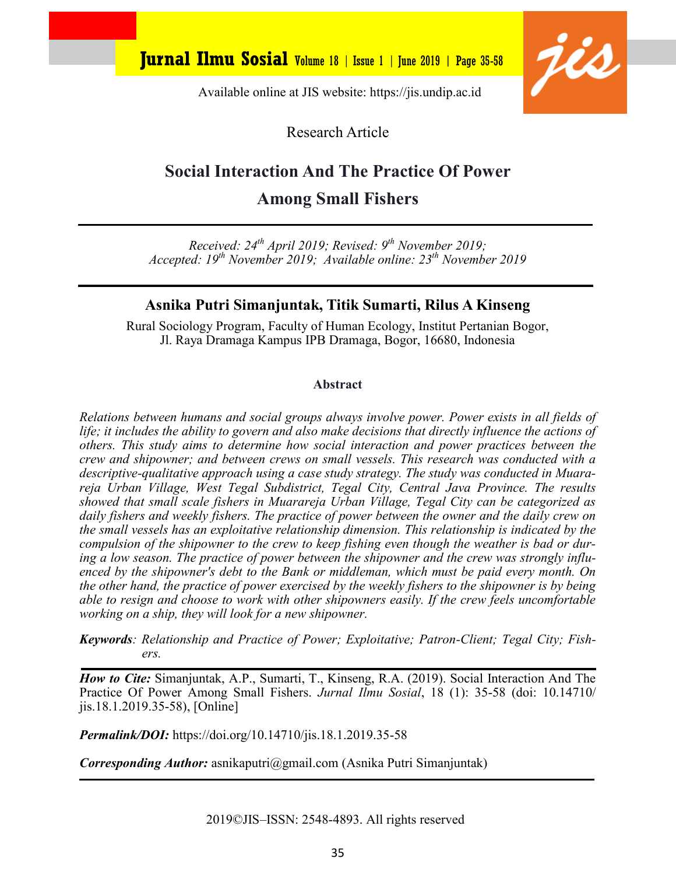

Available online at JIS website: https://jis.undip.ac.id

Research Article

# **Social Interaction And The Practice Of Power Among Small Fishers**

*Received: 24th April 2019; Revised: 9th November 2019; Accepted: 19th November 2019; Available online: 23th November 2019*

### **Asnika Putri Simanjuntak, Titik Sumarti, Rilus A Kinseng**

Rural Sociology Program, Faculty of Human Ecology, Institut Pertanian Bogor, Jl. Raya Dramaga Kampus IPB Dramaga, Bogor, 16680, Indonesia

#### **Abstract**

*Relations between humans and social groups always involve power. Power exists in all fields of life; it includes the ability to govern and also make decisions that directly influence the actions of others. This study aims to determine how social interaction and power practices between the crew and shipowner; and between crews on small vessels. This research was conducted with a descriptive-qualitative approach using a case study strategy. The study was conducted in Muarareja Urban Village, West Tegal Subdistrict, Tegal City, Central Java Province. The results showed that small scale fishers in Muarareja Urban Village, Tegal City can be categorized as daily fishers and weekly fishers. The practice of power between the owner and the daily crew on the small vessels has an exploitative relationship dimension. This relationship is indicated by the compulsion of the shipowner to the crew to keep fishing even though the weather is bad or during a low season. The practice of power between the shipowner and the crew was strongly influenced by the shipowner's debt to the Bank or middleman, which must be paid every month. On the other hand, the practice of power exercised by the weekly fishers to the shipowner is by being able to resign and choose to work with other shipowners easily. If the crew feels uncomfortable working on a ship, they will look for a new shipowner.*

*Keywords: Relationship and Practice of Power; Exploitative; Patron-Client; Tegal City; Fishers.*

*How to Cite:* Simanjuntak, A.P., Sumarti, T., Kinseng, R.A. (2019). Social Interaction And The Practice Of Power Among Small Fishers. *Jurnal Ilmu Sosial*, 18 (1): 35-58 (doi: 10.14710/ jis.18.1.2019.35-58), [Online]

*Permalink/DOI:* https://doi.org/10.14710/jis.18.1.2019.35-58

*Corresponding Author:* asnikaputri@gmail.com (Asnika Putri Simanjuntak)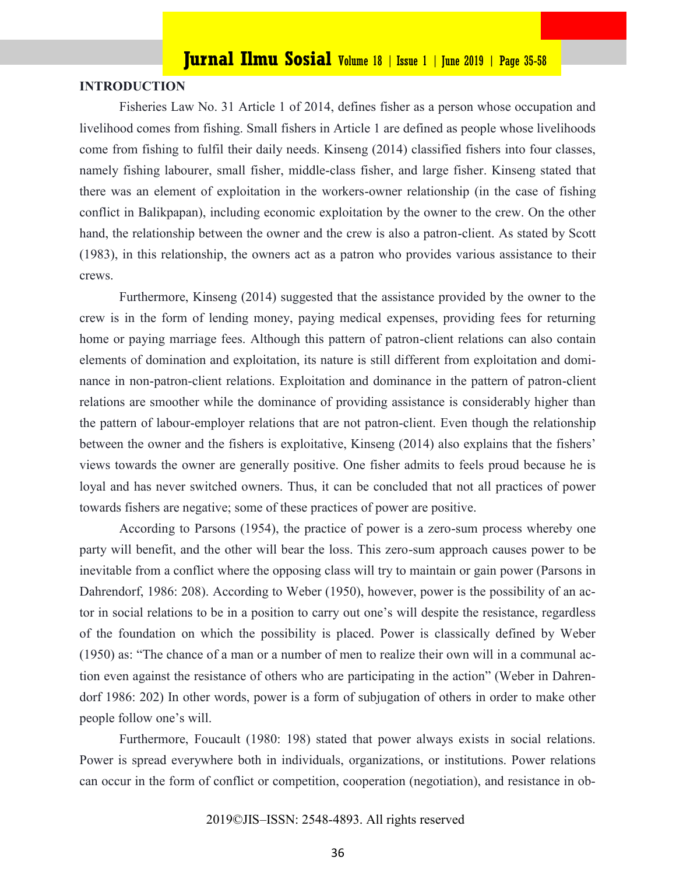#### **INTRODUCTION**

Fisheries Law No. 31 Article 1 of 2014, defines fisher as a person whose occupation and livelihood comes from fishing. Small fishers in Article 1 are defined as people whose livelihoods come from fishing to fulfil their daily needs. Kinseng (2014) classified fishers into four classes, namely fishing labourer, small fisher, middle-class fisher, and large fisher. Kinseng stated that there was an element of exploitation in the workers-owner relationship (in the case of fishing conflict in Balikpapan), including economic exploitation by the owner to the crew. On the other hand, the relationship between the owner and the crew is also a patron-client. As stated by Scott (1983), in this relationship, the owners act as a patron who provides various assistance to their crews.

Furthermore, Kinseng (2014) suggested that the assistance provided by the owner to the crew is in the form of lending money, paying medical expenses, providing fees for returning home or paying marriage fees. Although this pattern of patron-client relations can also contain elements of domination and exploitation, its nature is still different from exploitation and dominance in non-patron-client relations. Exploitation and dominance in the pattern of patron-client relations are smoother while the dominance of providing assistance is considerably higher than the pattern of labour-employer relations that are not patron-client. Even though the relationship between the owner and the fishers is exploitative, Kinseng (2014) also explains that the fishers' views towards the owner are generally positive. One fisher admits to feels proud because he is loyal and has never switched owners. Thus, it can be concluded that not all practices of power towards fishers are negative; some of these practices of power are positive.

According to Parsons (1954), the practice of power is a zero-sum process whereby one party will benefit, and the other will bear the loss. This zero-sum approach causes power to be inevitable from a conflict where the opposing class will try to maintain or gain power (Parsons in Dahrendorf, 1986: 208). According to Weber (1950), however, power is the possibility of an actor in social relations to be in a position to carry out one's will despite the resistance, regardless of the foundation on which the possibility is placed. Power is classically defined by Weber (1950) as: "The chance of a man or a number of men to realize their own will in a communal action even against the resistance of others who are participating in the action" (Weber in Dahrendorf 1986: 202) In other words, power is a form of subjugation of others in order to make other people follow one's will.

Furthermore, Foucault (1980: 198) stated that power always exists in social relations. Power is spread everywhere both in individuals, organizations, or institutions. Power relations can occur in the form of conflict or competition, cooperation (negotiation), and resistance in ob-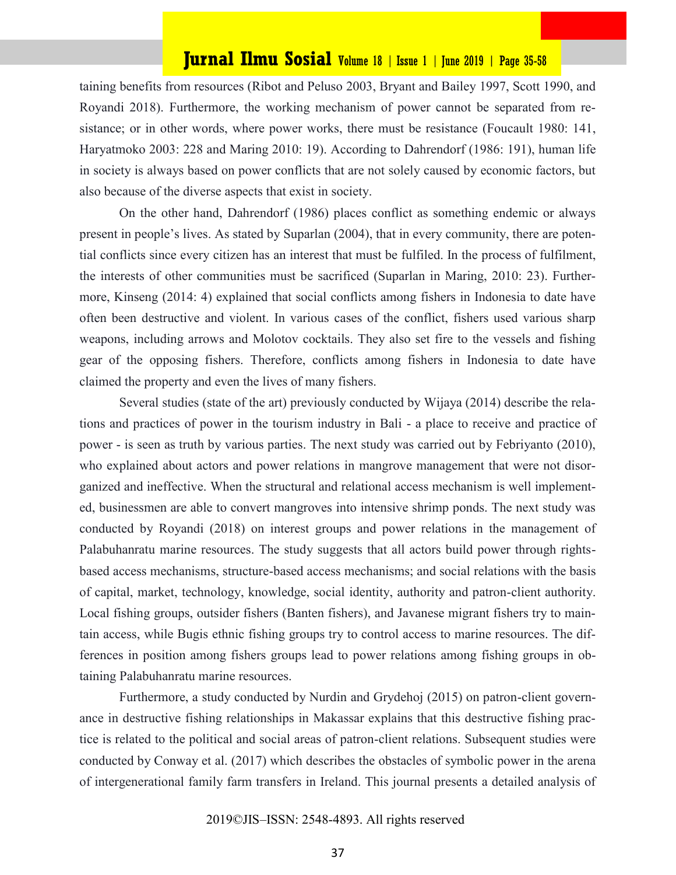taining benefits from resources (Ribot and Peluso 2003, Bryant and Bailey 1997, Scott 1990, and Royandi 2018). Furthermore, the working mechanism of power cannot be separated from resistance; or in other words, where power works, there must be resistance (Foucault 1980: 141, Haryatmoko 2003: 228 and Maring 2010: 19). According to Dahrendorf (1986: 191), human life in society is always based on power conflicts that are not solely caused by economic factors, but also because of the diverse aspects that exist in society.

On the other hand, Dahrendorf (1986) places conflict as something endemic or always present in people's lives. As stated by Suparlan (2004), that in every community, there are potential conflicts since every citizen has an interest that must be fulfiled. In the process of fulfilment, the interests of other communities must be sacrificed (Suparlan in Maring, 2010: 23). Furthermore, Kinseng (2014: 4) explained that social conflicts among fishers in Indonesia to date have often been destructive and violent. In various cases of the conflict, fishers used various sharp weapons, including arrows and Molotov cocktails. They also set fire to the vessels and fishing gear of the opposing fishers. Therefore, conflicts among fishers in Indonesia to date have claimed the property and even the lives of many fishers.

Several studies (state of the art) previously conducted by Wijaya (2014) describe the relations and practices of power in the tourism industry in Bali - a place to receive and practice of power - is seen as truth by various parties. The next study was carried out by Febriyanto (2010), who explained about actors and power relations in mangrove management that were not disorganized and ineffective. When the structural and relational access mechanism is well implemented, businessmen are able to convert mangroves into intensive shrimp ponds. The next study was conducted by Royandi (2018) on interest groups and power relations in the management of Palabuhanratu marine resources. The study suggests that all actors build power through rightsbased access mechanisms, structure-based access mechanisms; and social relations with the basis of capital, market, technology, knowledge, social identity, authority and patron-client authority. Local fishing groups, outsider fishers (Banten fishers), and Javanese migrant fishers try to maintain access, while Bugis ethnic fishing groups try to control access to marine resources. The differences in position among fishers groups lead to power relations among fishing groups in obtaining Palabuhanratu marine resources.

Furthermore, a study conducted by Nurdin and Grydehoj (2015) on patron-client governance in destructive fishing relationships in Makassar explains that this destructive fishing practice is related to the political and social areas of patron-client relations. Subsequent studies were conducted by Conway et al. (2017) which describes the obstacles of symbolic power in the arena of intergenerational family farm transfers in Ireland. This journal presents a detailed analysis of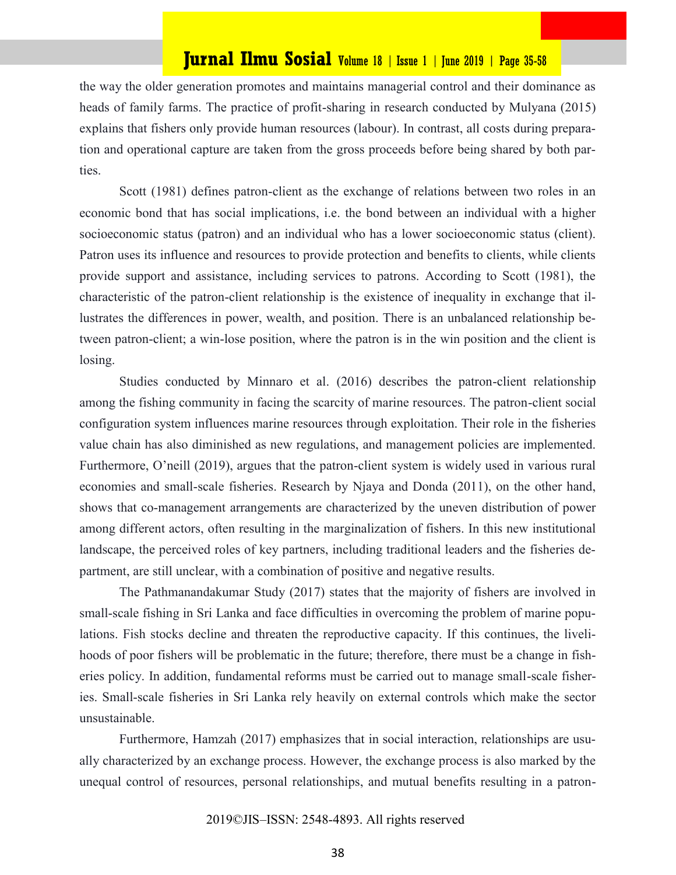the way the older generation promotes and maintains managerial control and their dominance as heads of family farms. The practice of profit-sharing in research conducted by Mulyana (2015) explains that fishers only provide human resources (labour). In contrast, all costs during preparation and operational capture are taken from the gross proceeds before being shared by both parties.

Scott (1981) defines patron-client as the exchange of relations between two roles in an economic bond that has social implications, i.e. the bond between an individual with a higher socioeconomic status (patron) and an individual who has a lower socioeconomic status (client). Patron uses its influence and resources to provide protection and benefits to clients, while clients provide support and assistance, including services to patrons. According to Scott (1981), the characteristic of the patron-client relationship is the existence of inequality in exchange that illustrates the differences in power, wealth, and position. There is an unbalanced relationship between patron-client; a win-lose position, where the patron is in the win position and the client is losing.

Studies conducted by Minnaro et al. (2016) describes the patron-client relationship among the fishing community in facing the scarcity of marine resources. The patron-client social configuration system influences marine resources through exploitation. Their role in the fisheries value chain has also diminished as new regulations, and management policies are implemented. Furthermore, O'neill (2019), argues that the patron-client system is widely used in various rural economies and small-scale fisheries. Research by Njaya and Donda (2011), on the other hand, shows that co-management arrangements are characterized by the uneven distribution of power among different actors, often resulting in the marginalization of fishers. In this new institutional landscape, the perceived roles of key partners, including traditional leaders and the fisheries department, are still unclear, with a combination of positive and negative results.

The Pathmanandakumar Study (2017) states that the majority of fishers are involved in small-scale fishing in Sri Lanka and face difficulties in overcoming the problem of marine populations. Fish stocks decline and threaten the reproductive capacity. If this continues, the livelihoods of poor fishers will be problematic in the future; therefore, there must be a change in fisheries policy. In addition, fundamental reforms must be carried out to manage small-scale fisheries. Small-scale fisheries in Sri Lanka rely heavily on external controls which make the sector unsustainable.

Furthermore, Hamzah (2017) emphasizes that in social interaction, relationships are usually characterized by an exchange process. However, the exchange process is also marked by the unequal control of resources, personal relationships, and mutual benefits resulting in a patron-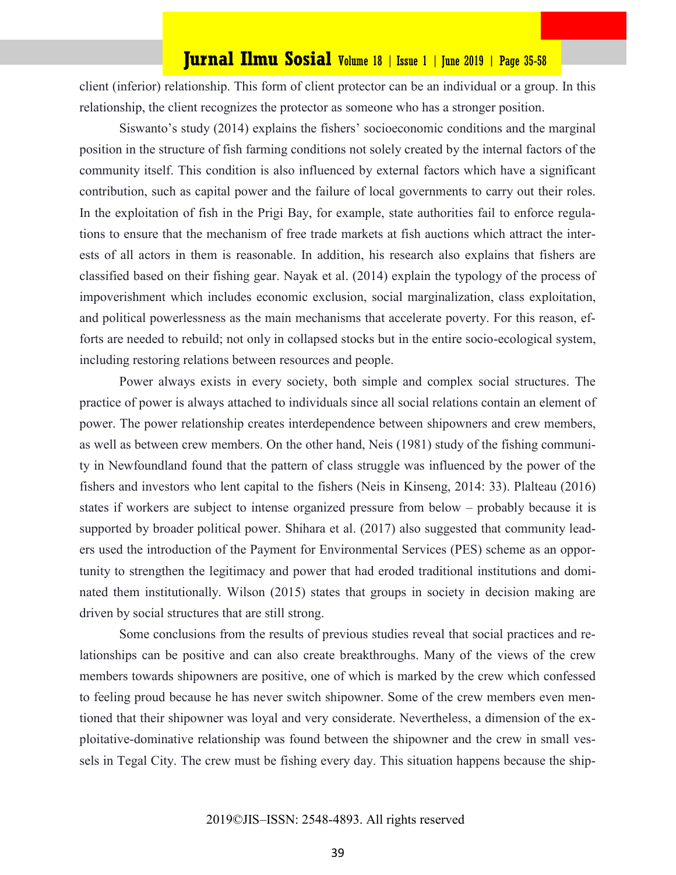client (inferior) relationship. This form of client protector can be an individual or a group. In this relationship, the client recognizes the protector as someone who has a stronger position.

Siswanto's study (2014) explains the fishers' socioeconomic conditions and the marginal position in the structure of fish farming conditions not solely created by the internal factors of the community itself. This condition is also influenced by external factors which have a significant contribution, such as capital power and the failure of local governments to carry out their roles. In the exploitation of fish in the Prigi Bay, for example, state authorities fail to enforce regulations to ensure that the mechanism of free trade markets at fish auctions which attract the interests of all actors in them is reasonable. In addition, his research also explains that fishers are classified based on their fishing gear. Nayak et al. (2014) explain the typology of the process of impoverishment which includes economic exclusion, social marginalization, class exploitation, and political powerlessness as the main mechanisms that accelerate poverty. For this reason, efforts are needed to rebuild; not only in collapsed stocks but in the entire socio-ecological system, including restoring relations between resources and people.

Power always exists in every society, both simple and complex social structures. The practice of power is always attached to individuals since all social relations contain an element of power. The power relationship creates interdependence between shipowners and crew members, as well as between crew members. On the other hand, Neis (1981) study of the fishing community in Newfoundland found that the pattern of class struggle was influenced by the power of the fishers and investors who lent capital to the fishers (Neis in Kinseng, 2014: 33). Plalteau (2016) states if workers are subject to intense organized pressure from below – probably because it is supported by broader political power. Shihara et al. (2017) also suggested that community leaders used the introduction of the Payment for Environmental Services (PES) scheme as an opportunity to strengthen the legitimacy and power that had eroded traditional institutions and dominated them institutionally. Wilson (2015) states that groups in society in decision making are driven by social structures that are still strong.

Some conclusions from the results of previous studies reveal that social practices and relationships can be positive and can also create breakthroughs. Many of the views of the crew members towards shipowners are positive, one of which is marked by the crew which confessed to feeling proud because he has never switch shipowner. Some of the crew members even mentioned that their shipowner was loyal and very considerate. Nevertheless, a dimension of the exploitative-dominative relationship was found between the shipowner and the crew in small vessels in Tegal City. The crew must be fishing every day. This situation happens because the ship-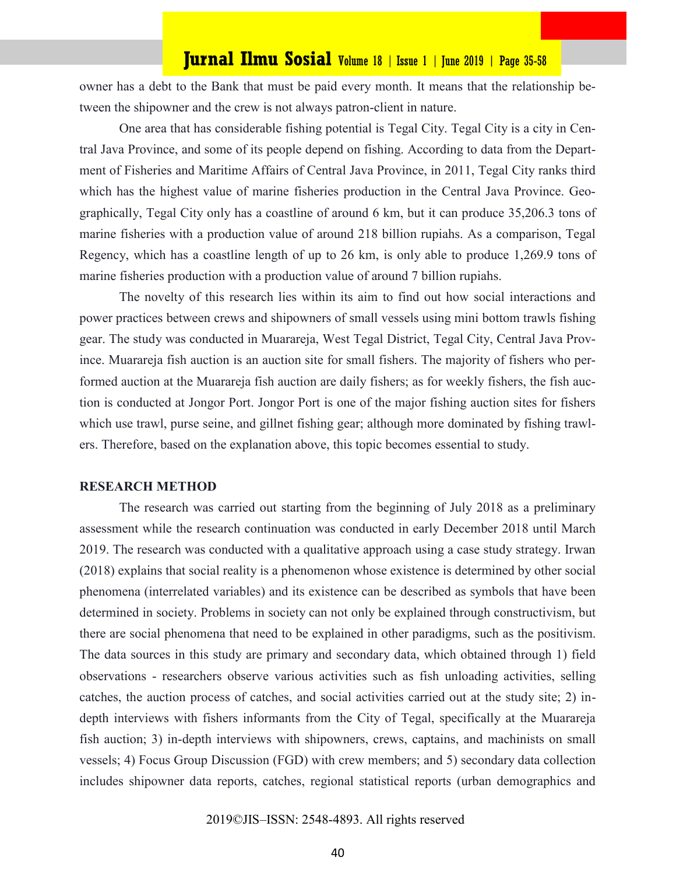owner has a debt to the Bank that must be paid every month. It means that the relationship between the shipowner and the crew is not always patron-client in nature.

One area that has considerable fishing potential is Tegal City. Tegal City is a city in Central Java Province, and some of its people depend on fishing. According to data from the Department of Fisheries and Maritime Affairs of Central Java Province, in 2011, Tegal City ranks third which has the highest value of marine fisheries production in the Central Java Province. Geographically, Tegal City only has a coastline of around 6 km, but it can produce 35,206.3 tons of marine fisheries with a production value of around 218 billion rupiahs. As a comparison, Tegal Regency, which has a coastline length of up to 26 km, is only able to produce 1,269.9 tons of marine fisheries production with a production value of around 7 billion rupiahs.

The novelty of this research lies within its aim to find out how social interactions and power practices between crews and shipowners of small vessels using mini bottom trawls fishing gear. The study was conducted in Muarareja, West Tegal District, Tegal City, Central Java Province. Muarareja fish auction is an auction site for small fishers. The majority of fishers who performed auction at the Muarareja fish auction are daily fishers; as for weekly fishers, the fish auction is conducted at Jongor Port. Jongor Port is one of the major fishing auction sites for fishers which use trawl, purse seine, and gillnet fishing gear; although more dominated by fishing trawlers. Therefore, based on the explanation above, this topic becomes essential to study.

#### **RESEARCH METHOD**

The research was carried out starting from the beginning of July 2018 as a preliminary assessment while the research continuation was conducted in early December 2018 until March 2019. The research was conducted with a qualitative approach using a case study strategy. Irwan (2018) explains that social reality is a phenomenon whose existence is determined by other social phenomena (interrelated variables) and its existence can be described as symbols that have been determined in society. Problems in society can not only be explained through constructivism, but there are social phenomena that need to be explained in other paradigms, such as the positivism. The data sources in this study are primary and secondary data, which obtained through 1) field observations - researchers observe various activities such as fish unloading activities, selling catches, the auction process of catches, and social activities carried out at the study site; 2) indepth interviews with fishers informants from the City of Tegal, specifically at the Muarareja fish auction; 3) in-depth interviews with shipowners, crews, captains, and machinists on small vessels; 4) Focus Group Discussion (FGD) with crew members; and 5) secondary data collection includes shipowner data reports, catches, regional statistical reports (urban demographics and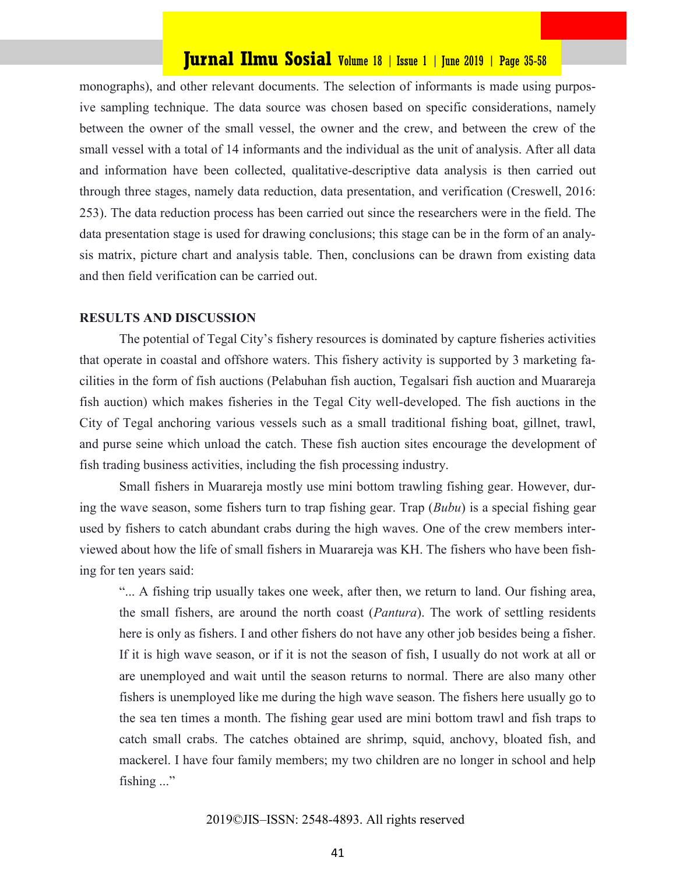monographs), and other relevant documents. The selection of informants is made using purposive sampling technique. The data source was chosen based on specific considerations, namely between the owner of the small vessel, the owner and the crew, and between the crew of the small vessel with a total of 14 informants and the individual as the unit of analysis. After all data and information have been collected, qualitative-descriptive data analysis is then carried out through three stages, namely data reduction, data presentation, and verification (Creswell, 2016: 253). The data reduction process has been carried out since the researchers were in the field. The data presentation stage is used for drawing conclusions; this stage can be in the form of an analysis matrix, picture chart and analysis table. Then, conclusions can be drawn from existing data and then field verification can be carried out.

#### **RESULTS AND DISCUSSION**

The potential of Tegal City's fishery resources is dominated by capture fisheries activities that operate in coastal and offshore waters. This fishery activity is supported by 3 marketing facilities in the form of fish auctions (Pelabuhan fish auction, Tegalsari fish auction and Muarareja fish auction) which makes fisheries in the Tegal City well-developed. The fish auctions in the City of Tegal anchoring various vessels such as a small traditional fishing boat, gillnet, trawl, and purse seine which unload the catch. These fish auction sites encourage the development of fish trading business activities, including the fish processing industry.

Small fishers in Muarareja mostly use mini bottom trawling fishing gear. However, during the wave season, some fishers turn to trap fishing gear. Trap (*Bubu*) is a special fishing gear used by fishers to catch abundant crabs during the high waves. One of the crew members interviewed about how the life of small fishers in Muarareja was KH. The fishers who have been fishing for ten years said:

"... A fishing trip usually takes one week, after then, we return to land. Our fishing area, the small fishers, are around the north coast (*Pantura*). The work of settling residents here is only as fishers. I and other fishers do not have any other job besides being a fisher. If it is high wave season, or if it is not the season of fish, I usually do not work at all or are unemployed and wait until the season returns to normal. There are also many other fishers is unemployed like me during the high wave season. The fishers here usually go to the sea ten times a month. The fishing gear used are mini bottom trawl and fish traps to catch small crabs. The catches obtained are shrimp, squid, anchovy, bloated fish, and mackerel. I have four family members; my two children are no longer in school and help fishing ..."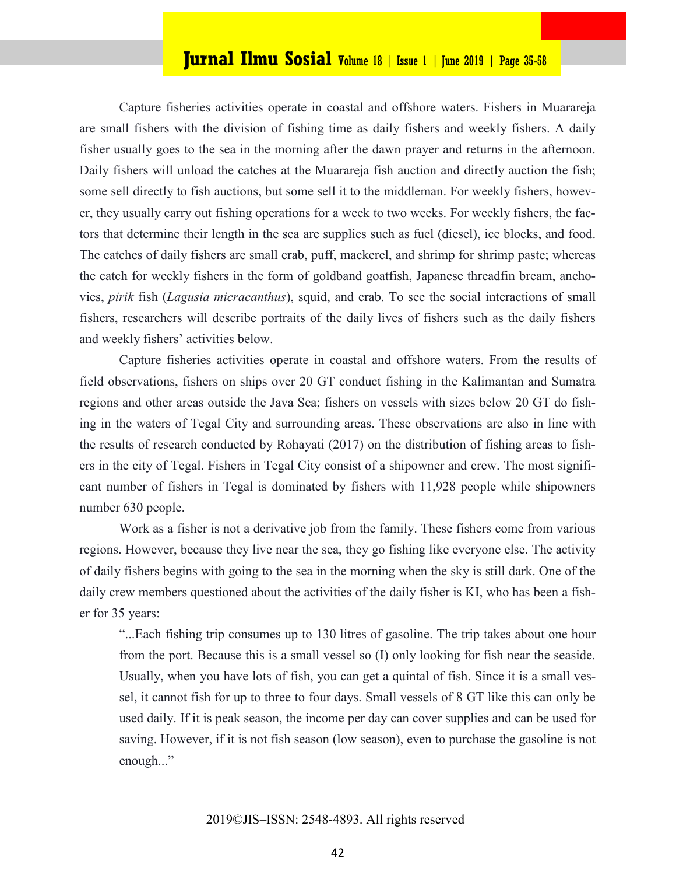Capture fisheries activities operate in coastal and offshore waters. Fishers in Muarareja are small fishers with the division of fishing time as daily fishers and weekly fishers. A daily fisher usually goes to the sea in the morning after the dawn prayer and returns in the afternoon. Daily fishers will unload the catches at the Muarareja fish auction and directly auction the fish; some sell directly to fish auctions, but some sell it to the middleman. For weekly fishers, however, they usually carry out fishing operations for a week to two weeks. For weekly fishers, the factors that determine their length in the sea are supplies such as fuel (diesel), ice blocks, and food. The catches of daily fishers are small crab, puff, mackerel, and shrimp for shrimp paste; whereas the catch for weekly fishers in the form of goldband goatfish, Japanese threadfin bream, anchovies, *pirik* fish (*Lagusia micracanthus*), squid, and crab. To see the social interactions of small fishers, researchers will describe portraits of the daily lives of fishers such as the daily fishers and weekly fishers' activities below.

Capture fisheries activities operate in coastal and offshore waters. From the results of field observations, fishers on ships over 20 GT conduct fishing in the Kalimantan and Sumatra regions and other areas outside the Java Sea; fishers on vessels with sizes below 20 GT do fishing in the waters of Tegal City and surrounding areas. These observations are also in line with the results of research conducted by Rohayati (2017) on the distribution of fishing areas to fishers in the city of Tegal. Fishers in Tegal City consist of a shipowner and crew. The most significant number of fishers in Tegal is dominated by fishers with 11,928 people while shipowners number 630 people.

Work as a fisher is not a derivative job from the family. These fishers come from various regions. However, because they live near the sea, they go fishing like everyone else. The activity of daily fishers begins with going to the sea in the morning when the sky is still dark. One of the daily crew members questioned about the activities of the daily fisher is KI, who has been a fisher for 35 years:

"...Each fishing trip consumes up to 130 litres of gasoline. The trip takes about one hour from the port. Because this is a small vessel so (I) only looking for fish near the seaside. Usually, when you have lots of fish, you can get a quintal of fish. Since it is a small vessel, it cannot fish for up to three to four days. Small vessels of 8 GT like this can only be used daily. If it is peak season, the income per day can cover supplies and can be used for saving. However, if it is not fish season (low season), even to purchase the gasoline is not enough..."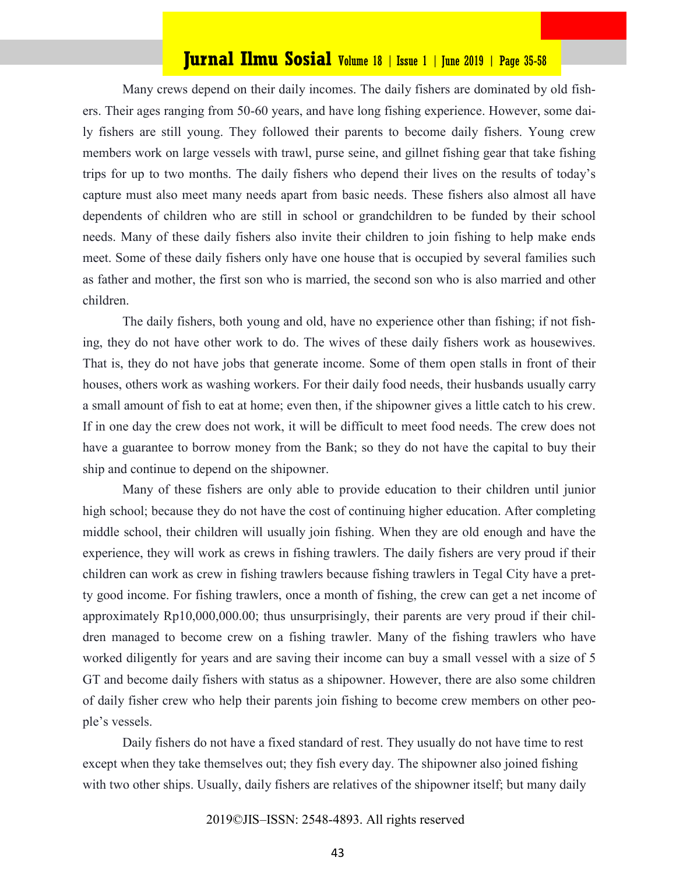Many crews depend on their daily incomes. The daily fishers are dominated by old fishers. Their ages ranging from 50-60 years, and have long fishing experience. However, some daily fishers are still young. They followed their parents to become daily fishers. Young crew members work on large vessels with trawl, purse seine, and gillnet fishing gear that take fishing trips for up to two months. The daily fishers who depend their lives on the results of today's capture must also meet many needs apart from basic needs. These fishers also almost all have dependents of children who are still in school or grandchildren to be funded by their school needs. Many of these daily fishers also invite their children to join fishing to help make ends meet. Some of these daily fishers only have one house that is occupied by several families such as father and mother, the first son who is married, the second son who is also married and other children.

The daily fishers, both young and old, have no experience other than fishing; if not fishing, they do not have other work to do. The wives of these daily fishers work as housewives. That is, they do not have jobs that generate income. Some of them open stalls in front of their houses, others work as washing workers. For their daily food needs, their husbands usually carry a small amount of fish to eat at home; even then, if the shipowner gives a little catch to his crew. If in one day the crew does not work, it will be difficult to meet food needs. The crew does not have a guarantee to borrow money from the Bank; so they do not have the capital to buy their ship and continue to depend on the shipowner.

Many of these fishers are only able to provide education to their children until junior high school; because they do not have the cost of continuing higher education. After completing middle school, their children will usually join fishing. When they are old enough and have the experience, they will work as crews in fishing trawlers. The daily fishers are very proud if their children can work as crew in fishing trawlers because fishing trawlers in Tegal City have a pretty good income. For fishing trawlers, once a month of fishing, the crew can get a net income of approximately Rp10,000,000.00; thus unsurprisingly, their parents are very proud if their children managed to become crew on a fishing trawler. Many of the fishing trawlers who have worked diligently for years and are saving their income can buy a small vessel with a size of 5 GT and become daily fishers with status as a shipowner. However, there are also some children of daily fisher crew who help their parents join fishing to become crew members on other people's vessels.

Daily fishers do not have a fixed standard of rest. They usually do not have time to rest except when they take themselves out; they fish every day. The shipowner also joined fishing with two other ships. Usually, daily fishers are relatives of the shipowner itself; but many daily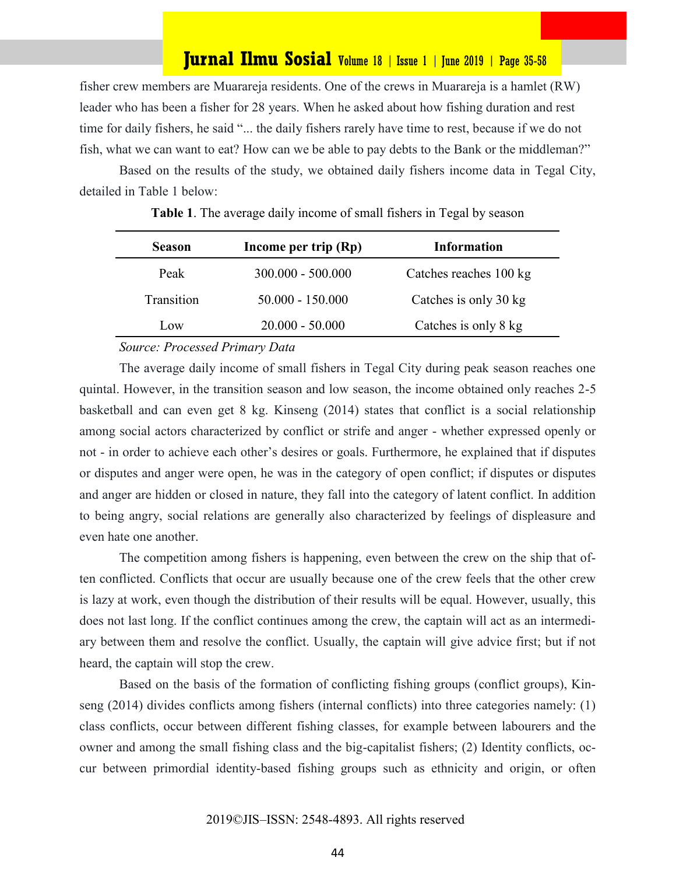fisher crew members are Muarareja residents. One of the crews in Muarareja is a hamlet (RW) leader who has been a fisher for 28 years. When he asked about how fishing duration and rest time for daily fishers, he said "... the daily fishers rarely have time to rest, because if we do not fish, what we can want to eat? How can we be able to pay debts to the Bank or the middleman?"

Based on the results of the study, we obtained daily fishers income data in Tegal City, detailed in Table 1 below:

| <b>Season</b> | Income per trip (Rp) | <b>Information</b>     |
|---------------|----------------------|------------------------|
| Peak          | $300.000 - 500.000$  | Catches reaches 100 kg |
| Transition    | $50.000 - 150.000$   | Catches is only 30 kg  |
| LOW.          | $20.000 - 50.000$    | Catches is only 8 kg   |

**Table 1**. The average daily income of small fishers in Tegal by season

#### *Source: Processed Primary Data*

The average daily income of small fishers in Tegal City during peak season reaches one quintal. However, in the transition season and low season, the income obtained only reaches 2-5 basketball and can even get 8 kg. Kinseng (2014) states that conflict is a social relationship among social actors characterized by conflict or strife and anger - whether expressed openly or not - in order to achieve each other's desires or goals. Furthermore, he explained that if disputes or disputes and anger were open, he was in the category of open conflict; if disputes or disputes and anger are hidden or closed in nature, they fall into the category of latent conflict. In addition to being angry, social relations are generally also characterized by feelings of displeasure and even hate one another.

The competition among fishers is happening, even between the crew on the ship that often conflicted. Conflicts that occur are usually because one of the crew feels that the other crew is lazy at work, even though the distribution of their results will be equal. However, usually, this does not last long. If the conflict continues among the crew, the captain will act as an intermediary between them and resolve the conflict. Usually, the captain will give advice first; but if not heard, the captain will stop the crew.

Based on the basis of the formation of conflicting fishing groups (conflict groups), Kinseng (2014) divides conflicts among fishers (internal conflicts) into three categories namely: (1) class conflicts, occur between different fishing classes, for example between labourers and the owner and among the small fishing class and the big-capitalist fishers; (2) Identity conflicts, occur between primordial identity-based fishing groups such as ethnicity and origin, or often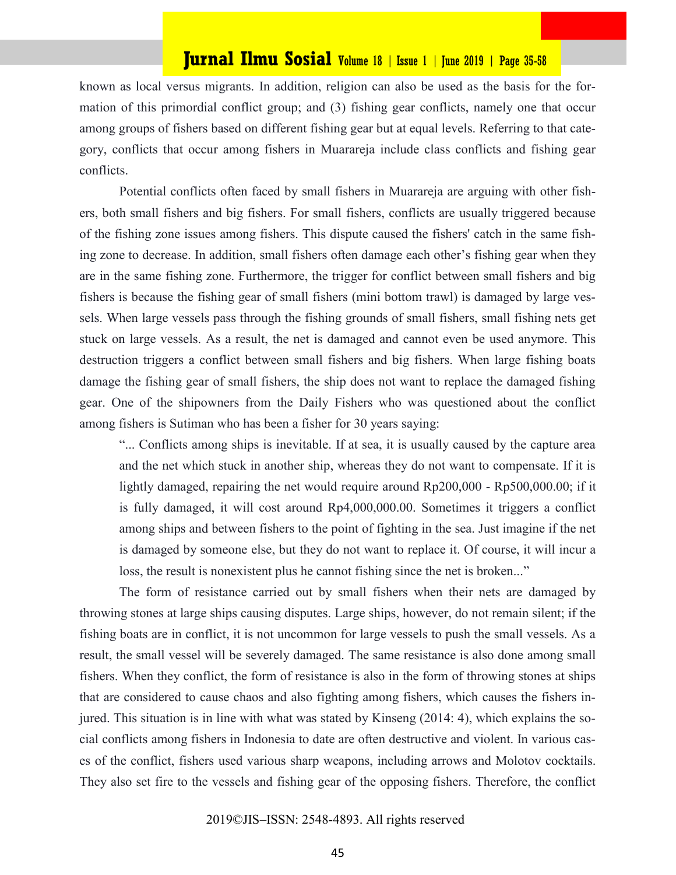known as local versus migrants. In addition, religion can also be used as the basis for the formation of this primordial conflict group; and (3) fishing gear conflicts, namely one that occur among groups of fishers based on different fishing gear but at equal levels. Referring to that category, conflicts that occur among fishers in Muarareja include class conflicts and fishing gear conflicts.

Potential conflicts often faced by small fishers in Muarareja are arguing with other fishers, both small fishers and big fishers. For small fishers, conflicts are usually triggered because of the fishing zone issues among fishers. This dispute caused the fishers' catch in the same fishing zone to decrease. In addition, small fishers often damage each other's fishing gear when they are in the same fishing zone. Furthermore, the trigger for conflict between small fishers and big fishers is because the fishing gear of small fishers (mini bottom trawl) is damaged by large vessels. When large vessels pass through the fishing grounds of small fishers, small fishing nets get stuck on large vessels. As a result, the net is damaged and cannot even be used anymore. This destruction triggers a conflict between small fishers and big fishers. When large fishing boats damage the fishing gear of small fishers, the ship does not want to replace the damaged fishing gear. One of the shipowners from the Daily Fishers who was questioned about the conflict among fishers is Sutiman who has been a fisher for 30 years saying:

"... Conflicts among ships is inevitable. If at sea, it is usually caused by the capture area and the net which stuck in another ship, whereas they do not want to compensate. If it is lightly damaged, repairing the net would require around Rp200,000 - Rp500,000.00; if it is fully damaged, it will cost around Rp4,000,000.00. Sometimes it triggers a conflict among ships and between fishers to the point of fighting in the sea. Just imagine if the net is damaged by someone else, but they do not want to replace it. Of course, it will incur a loss, the result is nonexistent plus he cannot fishing since the net is broken..."

The form of resistance carried out by small fishers when their nets are damaged by throwing stones at large ships causing disputes. Large ships, however, do not remain silent; if the fishing boats are in conflict, it is not uncommon for large vessels to push the small vessels. As a result, the small vessel will be severely damaged. The same resistance is also done among small fishers. When they conflict, the form of resistance is also in the form of throwing stones at ships that are considered to cause chaos and also fighting among fishers, which causes the fishers injured. This situation is in line with what was stated by Kinseng (2014: 4), which explains the social conflicts among fishers in Indonesia to date are often destructive and violent. In various cases of the conflict, fishers used various sharp weapons, including arrows and Molotov cocktails. They also set fire to the vessels and fishing gear of the opposing fishers. Therefore, the conflict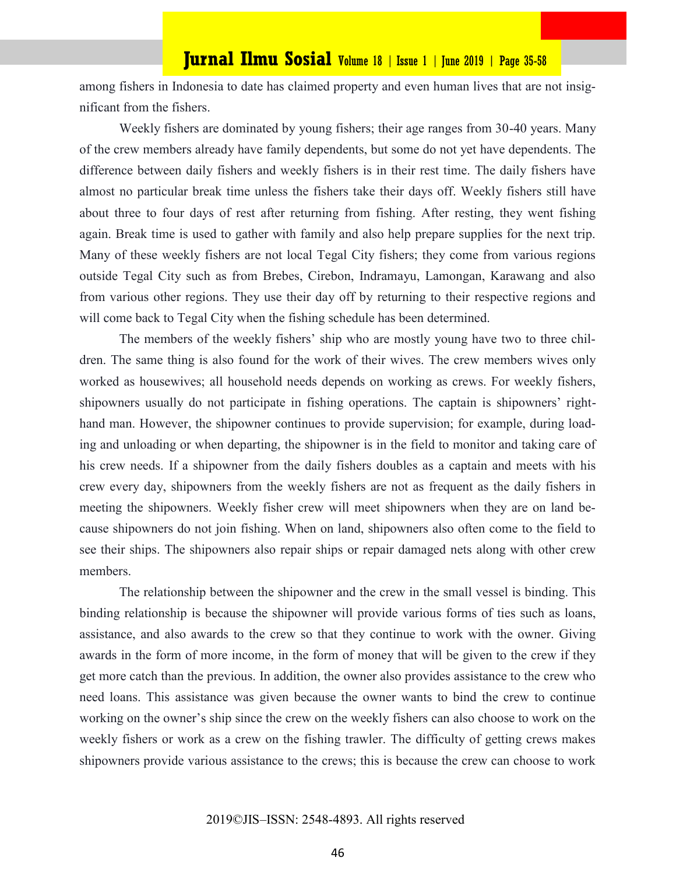among fishers in Indonesia to date has claimed property and even human lives that are not insignificant from the fishers.

Weekly fishers are dominated by young fishers; their age ranges from 30-40 years. Many of the crew members already have family dependents, but some do not yet have dependents. The difference between daily fishers and weekly fishers is in their rest time. The daily fishers have almost no particular break time unless the fishers take their days off. Weekly fishers still have about three to four days of rest after returning from fishing. After resting, they went fishing again. Break time is used to gather with family and also help prepare supplies for the next trip. Many of these weekly fishers are not local Tegal City fishers; they come from various regions outside Tegal City such as from Brebes, Cirebon, Indramayu, Lamongan, Karawang and also from various other regions. They use their day off by returning to their respective regions and will come back to Tegal City when the fishing schedule has been determined.

The members of the weekly fishers' ship who are mostly young have two to three children. The same thing is also found for the work of their wives. The crew members wives only worked as housewives; all household needs depends on working as crews. For weekly fishers, shipowners usually do not participate in fishing operations. The captain is shipowners' righthand man. However, the shipowner continues to provide supervision; for example, during loading and unloading or when departing, the shipowner is in the field to monitor and taking care of his crew needs. If a shipowner from the daily fishers doubles as a captain and meets with his crew every day, shipowners from the weekly fishers are not as frequent as the daily fishers in meeting the shipowners. Weekly fisher crew will meet shipowners when they are on land because shipowners do not join fishing. When on land, shipowners also often come to the field to see their ships. The shipowners also repair ships or repair damaged nets along with other crew members.

The relationship between the shipowner and the crew in the small vessel is binding. This binding relationship is because the shipowner will provide various forms of ties such as loans, assistance, and also awards to the crew so that they continue to work with the owner. Giving awards in the form of more income, in the form of money that will be given to the crew if they get more catch than the previous. In addition, the owner also provides assistance to the crew who need loans. This assistance was given because the owner wants to bind the crew to continue working on the owner's ship since the crew on the weekly fishers can also choose to work on the weekly fishers or work as a crew on the fishing trawler. The difficulty of getting crews makes shipowners provide various assistance to the crews; this is because the crew can choose to work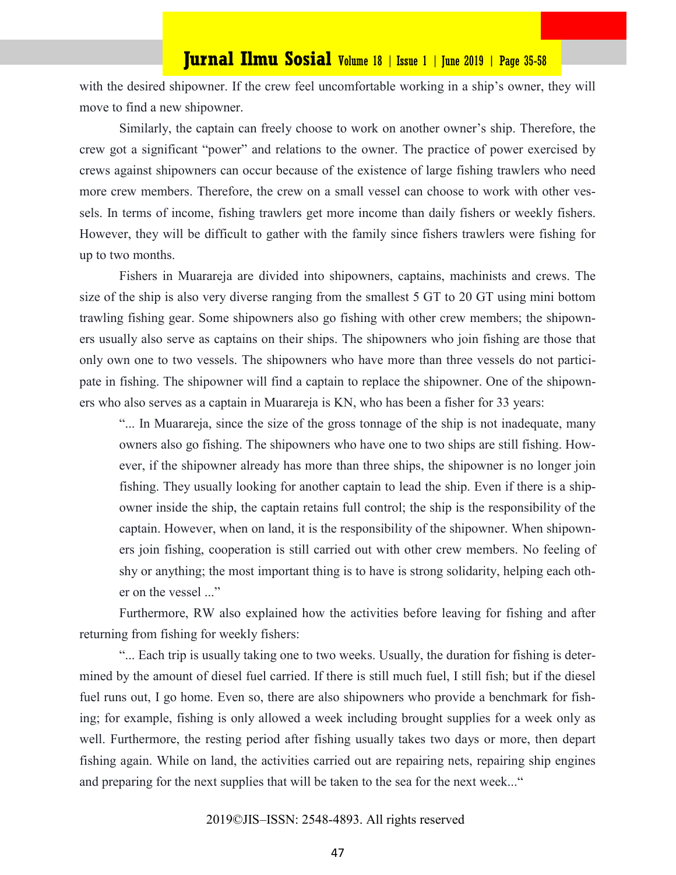with the desired shipowner. If the crew feel uncomfortable working in a ship's owner, they will move to find a new shipowner.

Similarly, the captain can freely choose to work on another owner's ship. Therefore, the crew got a significant "power" and relations to the owner. The practice of power exercised by crews against shipowners can occur because of the existence of large fishing trawlers who need more crew members. Therefore, the crew on a small vessel can choose to work with other vessels. In terms of income, fishing trawlers get more income than daily fishers or weekly fishers. However, they will be difficult to gather with the family since fishers trawlers were fishing for up to two months.

Fishers in Muarareja are divided into shipowners, captains, machinists and crews. The size of the ship is also very diverse ranging from the smallest 5 GT to 20 GT using mini bottom trawling fishing gear. Some shipowners also go fishing with other crew members; the shipowners usually also serve as captains on their ships. The shipowners who join fishing are those that only own one to two vessels. The shipowners who have more than three vessels do not participate in fishing. The shipowner will find a captain to replace the shipowner. One of the shipowners who also serves as a captain in Muarareja is KN, who has been a fisher for 33 years:

"... In Muarareja, since the size of the gross tonnage of the ship is not inadequate, many owners also go fishing. The shipowners who have one to two ships are still fishing. However, if the shipowner already has more than three ships, the shipowner is no longer join fishing. They usually looking for another captain to lead the ship. Even if there is a shipowner inside the ship, the captain retains full control; the ship is the responsibility of the captain. However, when on land, it is the responsibility of the shipowner. When shipowners join fishing, cooperation is still carried out with other crew members. No feeling of shy or anything; the most important thing is to have is strong solidarity, helping each other on the vessel ..."

Furthermore, RW also explained how the activities before leaving for fishing and after returning from fishing for weekly fishers:

"... Each trip is usually taking one to two weeks. Usually, the duration for fishing is determined by the amount of diesel fuel carried. If there is still much fuel, I still fish; but if the diesel fuel runs out, I go home. Even so, there are also shipowners who provide a benchmark for fishing; for example, fishing is only allowed a week including brought supplies for a week only as well. Furthermore, the resting period after fishing usually takes two days or more, then depart fishing again. While on land, the activities carried out are repairing nets, repairing ship engines and preparing for the next supplies that will be taken to the sea for the next week..."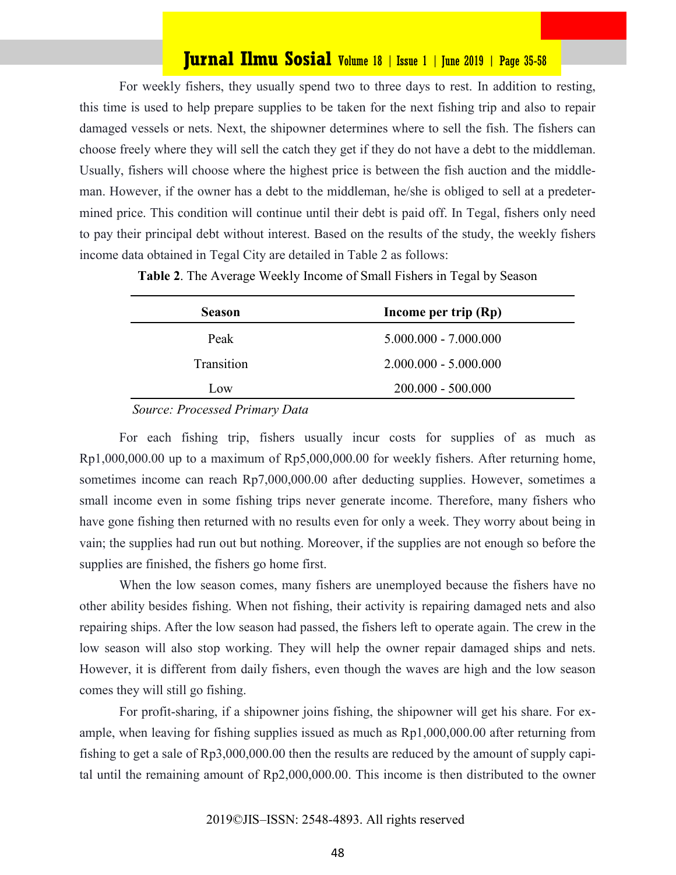For weekly fishers, they usually spend two to three days to rest. In addition to resting, this time is used to help prepare supplies to be taken for the next fishing trip and also to repair damaged vessels or nets. Next, the shipowner determines where to sell the fish. The fishers can choose freely where they will sell the catch they get if they do not have a debt to the middleman. Usually, fishers will choose where the highest price is between the fish auction and the middleman. However, if the owner has a debt to the middleman, he/she is obliged to sell at a predetermined price. This condition will continue until their debt is paid off. In Tegal, fishers only need to pay their principal debt without interest. Based on the results of the study, the weekly fishers income data obtained in Tegal City are detailed in Table 2 as follows:

**Table 2**. The Average Weekly Income of Small Fishers in Tegal by Season

| <b>Season</b> | Income per trip (Rp)    |
|---------------|-------------------------|
| Peak          | $5.000.000 - 7.000.000$ |
| Transition    | $2.000.000 - 5.000.000$ |
| Low           | $200.000 - 500.000$     |

 *Source: Processed Primary Data*

For each fishing trip, fishers usually incur costs for supplies of as much as Rp1,000,000.00 up to a maximum of Rp5,000,000.00 for weekly fishers. After returning home, sometimes income can reach Rp7,000,000.00 after deducting supplies. However, sometimes a small income even in some fishing trips never generate income. Therefore, many fishers who have gone fishing then returned with no results even for only a week. They worry about being in vain; the supplies had run out but nothing. Moreover, if the supplies are not enough so before the supplies are finished, the fishers go home first.

When the low season comes, many fishers are unemployed because the fishers have no other ability besides fishing. When not fishing, their activity is repairing damaged nets and also repairing ships. After the low season had passed, the fishers left to operate again. The crew in the low season will also stop working. They will help the owner repair damaged ships and nets. However, it is different from daily fishers, even though the waves are high and the low season comes they will still go fishing.

For profit-sharing, if a shipowner joins fishing, the shipowner will get his share. For example, when leaving for fishing supplies issued as much as Rp1,000,000.00 after returning from fishing to get a sale of Rp3,000,000.00 then the results are reduced by the amount of supply capital until the remaining amount of Rp2,000,000.00. This income is then distributed to the owner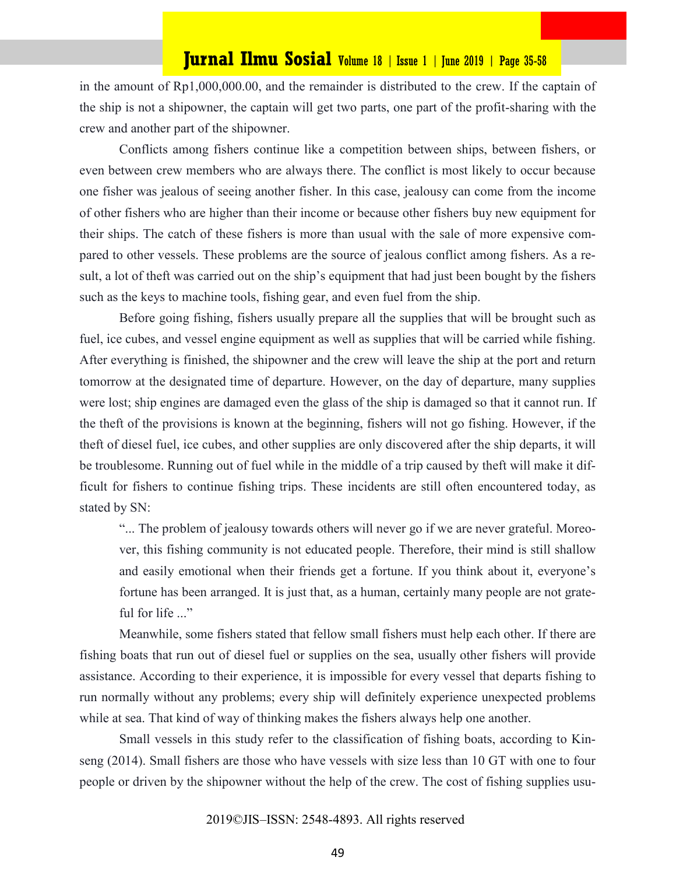in the amount of Rp1,000,000.00, and the remainder is distributed to the crew. If the captain of the ship is not a shipowner, the captain will get two parts, one part of the profit-sharing with the crew and another part of the shipowner.

Conflicts among fishers continue like a competition between ships, between fishers, or even between crew members who are always there. The conflict is most likely to occur because one fisher was jealous of seeing another fisher. In this case, jealousy can come from the income of other fishers who are higher than their income or because other fishers buy new equipment for their ships. The catch of these fishers is more than usual with the sale of more expensive compared to other vessels. These problems are the source of jealous conflict among fishers. As a result, a lot of theft was carried out on the ship's equipment that had just been bought by the fishers such as the keys to machine tools, fishing gear, and even fuel from the ship.

Before going fishing, fishers usually prepare all the supplies that will be brought such as fuel, ice cubes, and vessel engine equipment as well as supplies that will be carried while fishing. After everything is finished, the shipowner and the crew will leave the ship at the port and return tomorrow at the designated time of departure. However, on the day of departure, many supplies were lost; ship engines are damaged even the glass of the ship is damaged so that it cannot run. If the theft of the provisions is known at the beginning, fishers will not go fishing. However, if the theft of diesel fuel, ice cubes, and other supplies are only discovered after the ship departs, it will be troublesome. Running out of fuel while in the middle of a trip caused by theft will make it difficult for fishers to continue fishing trips. These incidents are still often encountered today, as stated by SN:

"... The problem of jealousy towards others will never go if we are never grateful. Moreover, this fishing community is not educated people. Therefore, their mind is still shallow and easily emotional when their friends get a fortune. If you think about it, everyone's fortune has been arranged. It is just that, as a human, certainly many people are not grateful for life ..."

Meanwhile, some fishers stated that fellow small fishers must help each other. If there are fishing boats that run out of diesel fuel or supplies on the sea, usually other fishers will provide assistance. According to their experience, it is impossible for every vessel that departs fishing to run normally without any problems; every ship will definitely experience unexpected problems while at sea. That kind of way of thinking makes the fishers always help one another.

Small vessels in this study refer to the classification of fishing boats, according to Kinseng (2014). Small fishers are those who have vessels with size less than 10 GT with one to four people or driven by the shipowner without the help of the crew. The cost of fishing supplies usu-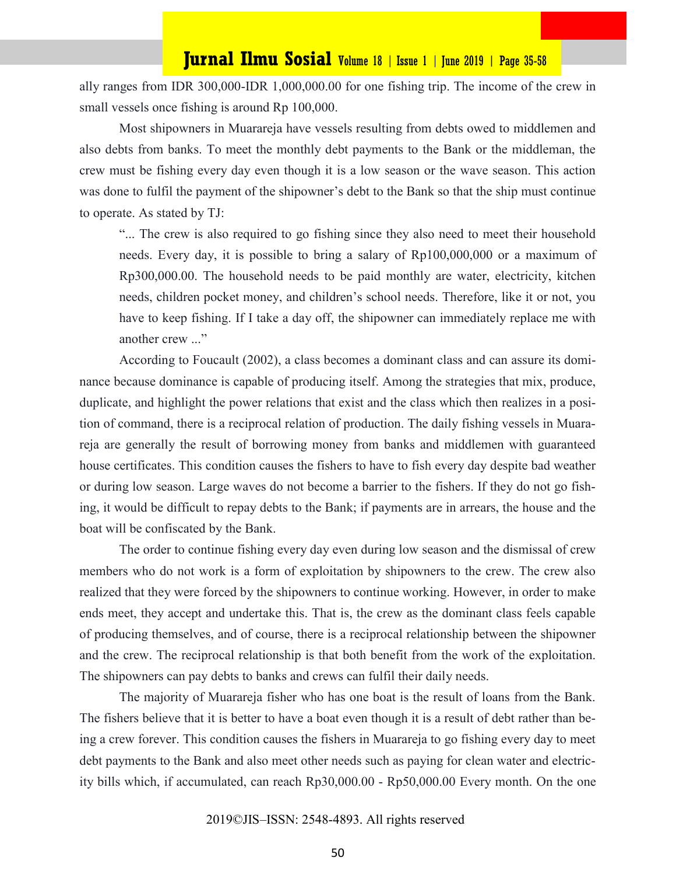ally ranges from IDR 300,000-IDR 1,000,000.00 for one fishing trip. The income of the crew in small vessels once fishing is around Rp 100,000.

Most shipowners in Muarareja have vessels resulting from debts owed to middlemen and also debts from banks. To meet the monthly debt payments to the Bank or the middleman, the crew must be fishing every day even though it is a low season or the wave season. This action was done to fulfil the payment of the shipowner's debt to the Bank so that the ship must continue to operate. As stated by TJ:

"... The crew is also required to go fishing since they also need to meet their household needs. Every day, it is possible to bring a salary of Rp100,000,000 or a maximum of Rp300,000.00. The household needs to be paid monthly are water, electricity, kitchen needs, children pocket money, and children's school needs. Therefore, like it or not, you have to keep fishing. If I take a day off, the shipowner can immediately replace me with another crew ..."

According to Foucault (2002), a class becomes a dominant class and can assure its dominance because dominance is capable of producing itself. Among the strategies that mix, produce, duplicate, and highlight the power relations that exist and the class which then realizes in a position of command, there is a reciprocal relation of production. The daily fishing vessels in Muarareja are generally the result of borrowing money from banks and middlemen with guaranteed house certificates. This condition causes the fishers to have to fish every day despite bad weather or during low season. Large waves do not become a barrier to the fishers. If they do not go fishing, it would be difficult to repay debts to the Bank; if payments are in arrears, the house and the boat will be confiscated by the Bank.

The order to continue fishing every day even during low season and the dismissal of crew members who do not work is a form of exploitation by shipowners to the crew. The crew also realized that they were forced by the shipowners to continue working. However, in order to make ends meet, they accept and undertake this. That is, the crew as the dominant class feels capable of producing themselves, and of course, there is a reciprocal relationship between the shipowner and the crew. The reciprocal relationship is that both benefit from the work of the exploitation. The shipowners can pay debts to banks and crews can fulfil their daily needs.

The majority of Muarareja fisher who has one boat is the result of loans from the Bank. The fishers believe that it is better to have a boat even though it is a result of debt rather than being a crew forever. This condition causes the fishers in Muarareja to go fishing every day to meet debt payments to the Bank and also meet other needs such as paying for clean water and electricity bills which, if accumulated, can reach Rp30,000.00 - Rp50,000.00 Every month. On the one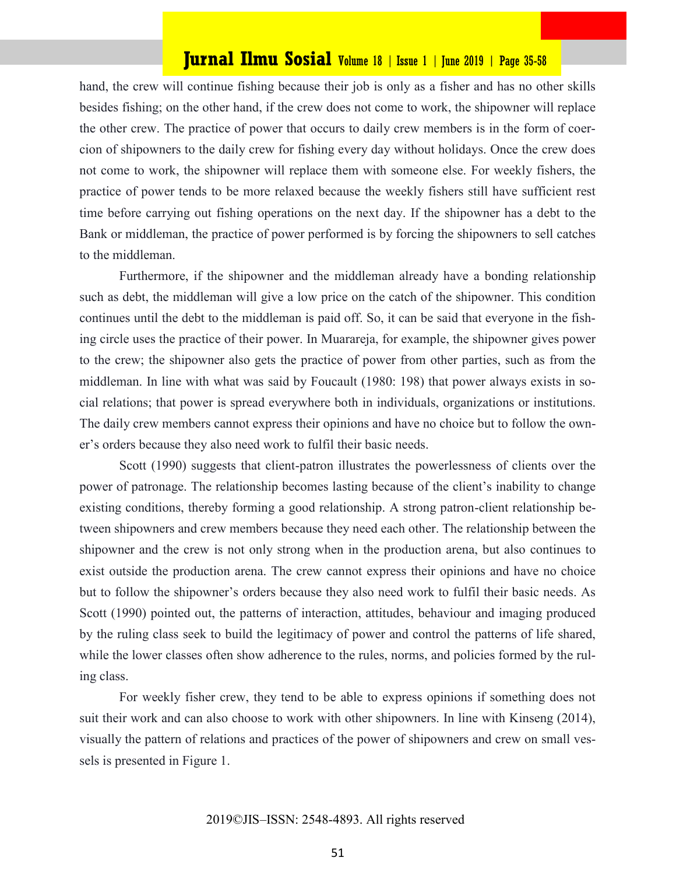hand, the crew will continue fishing because their job is only as a fisher and has no other skills besides fishing; on the other hand, if the crew does not come to work, the shipowner will replace the other crew. The practice of power that occurs to daily crew members is in the form of coercion of shipowners to the daily crew for fishing every day without holidays. Once the crew does not come to work, the shipowner will replace them with someone else. For weekly fishers, the practice of power tends to be more relaxed because the weekly fishers still have sufficient rest time before carrying out fishing operations on the next day. If the shipowner has a debt to the Bank or middleman, the practice of power performed is by forcing the shipowners to sell catches to the middleman.

Furthermore, if the shipowner and the middleman already have a bonding relationship such as debt, the middleman will give a low price on the catch of the shipowner. This condition continues until the debt to the middleman is paid off. So, it can be said that everyone in the fishing circle uses the practice of their power. In Muarareja, for example, the shipowner gives power to the crew; the shipowner also gets the practice of power from other parties, such as from the middleman. In line with what was said by Foucault (1980: 198) that power always exists in social relations; that power is spread everywhere both in individuals, organizations or institutions. The daily crew members cannot express their opinions and have no choice but to follow the owner's orders because they also need work to fulfil their basic needs.

Scott (1990) suggests that client-patron illustrates the powerlessness of clients over the power of patronage. The relationship becomes lasting because of the client's inability to change existing conditions, thereby forming a good relationship. A strong patron-client relationship between shipowners and crew members because they need each other. The relationship between the shipowner and the crew is not only strong when in the production arena, but also continues to exist outside the production arena. The crew cannot express their opinions and have no choice but to follow the shipowner's orders because they also need work to fulfil their basic needs. As Scott (1990) pointed out, the patterns of interaction, attitudes, behaviour and imaging produced by the ruling class seek to build the legitimacy of power and control the patterns of life shared, while the lower classes often show adherence to the rules, norms, and policies formed by the ruling class.

For weekly fisher crew, they tend to be able to express opinions if something does not suit their work and can also choose to work with other shipowners. In line with Kinseng (2014), visually the pattern of relations and practices of the power of shipowners and crew on small vessels is presented in Figure 1.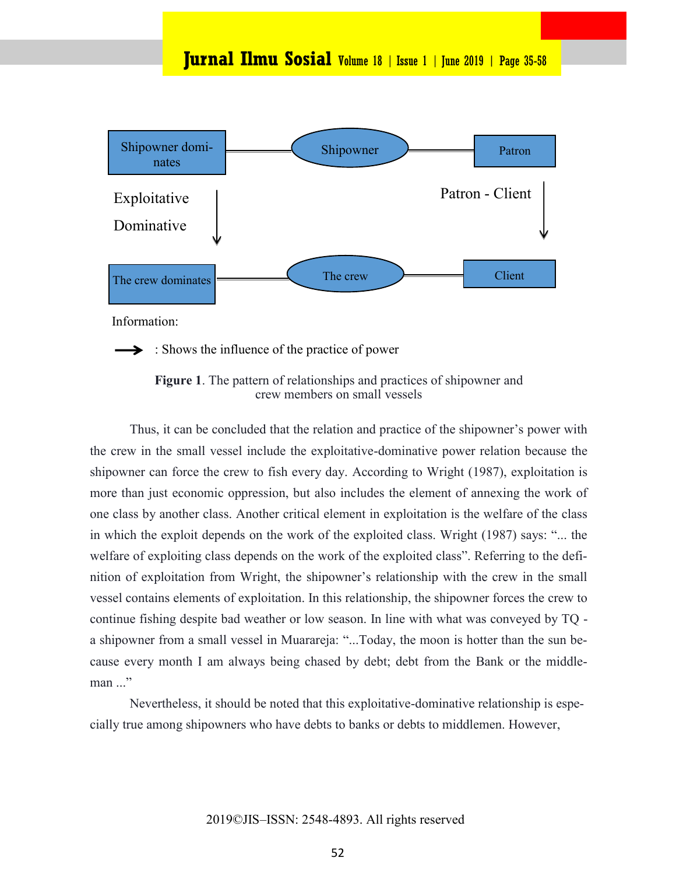

Information:

 $\blacktriangleright$ : Shows the influence of the practice of power

**Figure 1**. The pattern of relationships and practices of shipowner and crew members on small vessels

Thus, it can be concluded that the relation and practice of the shipowner's power with the crew in the small vessel include the exploitative-dominative power relation because the shipowner can force the crew to fish every day. According to Wright (1987), exploitation is more than just economic oppression, but also includes the element of annexing the work of one class by another class. Another critical element in exploitation is the welfare of the class in which the exploit depends on the work of the exploited class. Wright (1987) says: "... the welfare of exploiting class depends on the work of the exploited class". Referring to the definition of exploitation from Wright, the shipowner's relationship with the crew in the small vessel contains elements of exploitation. In this relationship, the shipowner forces the crew to continue fishing despite bad weather or low season. In line with what was conveyed by TQ a shipowner from a small vessel in Muarareja: "...Today, the moon is hotter than the sun because every month I am always being chased by debt; debt from the Bank or the middle $man \dots$ "

Nevertheless, it should be noted that this exploitative-dominative relationship is especially true among shipowners who have debts to banks or debts to middlemen. However,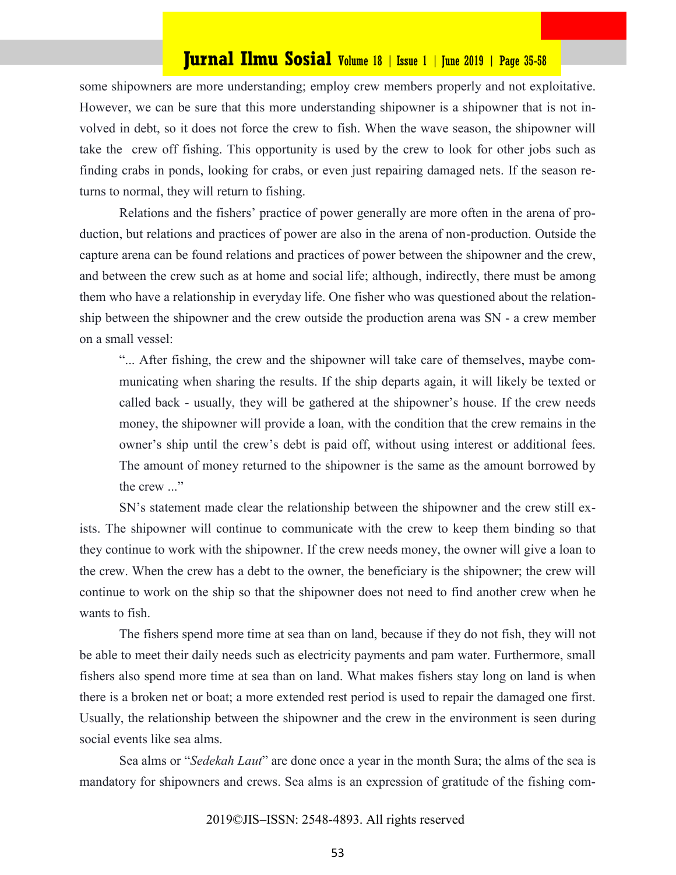some shipowners are more understanding; employ crew members properly and not exploitative. However, we can be sure that this more understanding shipowner is a shipowner that is not involved in debt, so it does not force the crew to fish. When the wave season, the shipowner will take the crew off fishing. This opportunity is used by the crew to look for other jobs such as finding crabs in ponds, looking for crabs, or even just repairing damaged nets. If the season returns to normal, they will return to fishing.

Relations and the fishers' practice of power generally are more often in the arena of production, but relations and practices of power are also in the arena of non-production. Outside the capture arena can be found relations and practices of power between the shipowner and the crew, and between the crew such as at home and social life; although, indirectly, there must be among them who have a relationship in everyday life. One fisher who was questioned about the relationship between the shipowner and the crew outside the production arena was SN - a crew member on a small vessel:

"... After fishing, the crew and the shipowner will take care of themselves, maybe communicating when sharing the results. If the ship departs again, it will likely be texted or called back - usually, they will be gathered at the shipowner's house. If the crew needs money, the shipowner will provide a loan, with the condition that the crew remains in the owner's ship until the crew's debt is paid off, without using interest or additional fees. The amount of money returned to the shipowner is the same as the amount borrowed by the crew ..."

SN's statement made clear the relationship between the shipowner and the crew still exists. The shipowner will continue to communicate with the crew to keep them binding so that they continue to work with the shipowner. If the crew needs money, the owner will give a loan to the crew. When the crew has a debt to the owner, the beneficiary is the shipowner; the crew will continue to work on the ship so that the shipowner does not need to find another crew when he wants to fish.

The fishers spend more time at sea than on land, because if they do not fish, they will not be able to meet their daily needs such as electricity payments and pam water. Furthermore, small fishers also spend more time at sea than on land. What makes fishers stay long on land is when there is a broken net or boat; a more extended rest period is used to repair the damaged one first. Usually, the relationship between the shipowner and the crew in the environment is seen during social events like sea alms.

Sea alms or "*Sedekah Laut*" are done once a year in the month Sura; the alms of the sea is mandatory for shipowners and crews. Sea alms is an expression of gratitude of the fishing com-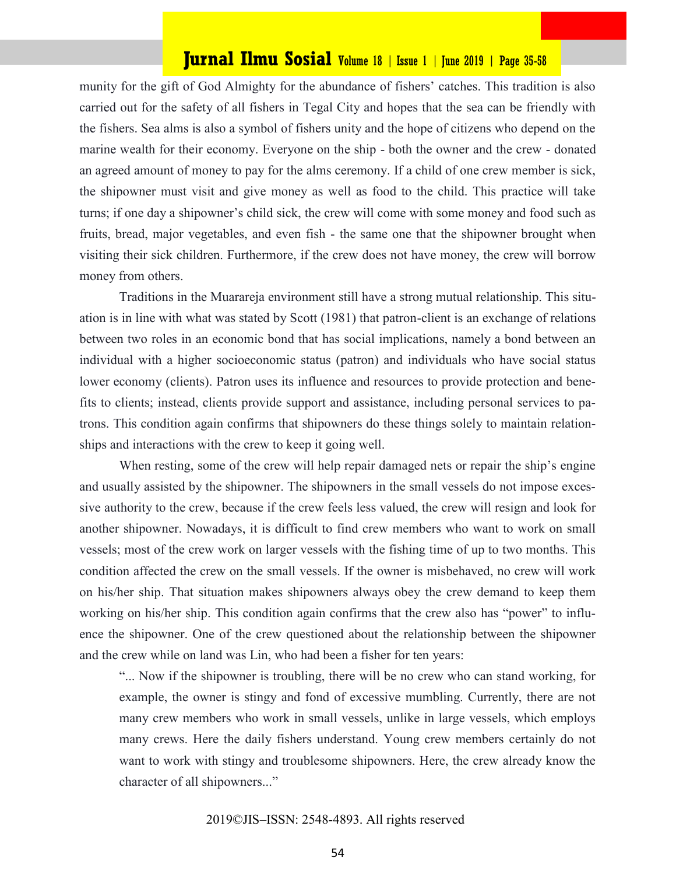munity for the gift of God Almighty for the abundance of fishers' catches. This tradition is also carried out for the safety of all fishers in Tegal City and hopes that the sea can be friendly with the fishers. Sea alms is also a symbol of fishers unity and the hope of citizens who depend on the marine wealth for their economy. Everyone on the ship - both the owner and the crew - donated an agreed amount of money to pay for the alms ceremony. If a child of one crew member is sick, the shipowner must visit and give money as well as food to the child. This practice will take turns; if one day a shipowner's child sick, the crew will come with some money and food such as fruits, bread, major vegetables, and even fish - the same one that the shipowner brought when visiting their sick children. Furthermore, if the crew does not have money, the crew will borrow money from others.

Traditions in the Muarareja environment still have a strong mutual relationship. This situation is in line with what was stated by Scott (1981) that patron-client is an exchange of relations between two roles in an economic bond that has social implications, namely a bond between an individual with a higher socioeconomic status (patron) and individuals who have social status lower economy (clients). Patron uses its influence and resources to provide protection and benefits to clients; instead, clients provide support and assistance, including personal services to patrons. This condition again confirms that shipowners do these things solely to maintain relationships and interactions with the crew to keep it going well.

When resting, some of the crew will help repair damaged nets or repair the ship's engine and usually assisted by the shipowner. The shipowners in the small vessels do not impose excessive authority to the crew, because if the crew feels less valued, the crew will resign and look for another shipowner. Nowadays, it is difficult to find crew members who want to work on small vessels; most of the crew work on larger vessels with the fishing time of up to two months. This condition affected the crew on the small vessels. If the owner is misbehaved, no crew will work on his/her ship. That situation makes shipowners always obey the crew demand to keep them working on his/her ship. This condition again confirms that the crew also has "power" to influence the shipowner. One of the crew questioned about the relationship between the shipowner and the crew while on land was Lin, who had been a fisher for ten years:

"... Now if the shipowner is troubling, there will be no crew who can stand working, for example, the owner is stingy and fond of excessive mumbling. Currently, there are not many crew members who work in small vessels, unlike in large vessels, which employs many crews. Here the daily fishers understand. Young crew members certainly do not want to work with stingy and troublesome shipowners. Here, the crew already know the character of all shipowners..."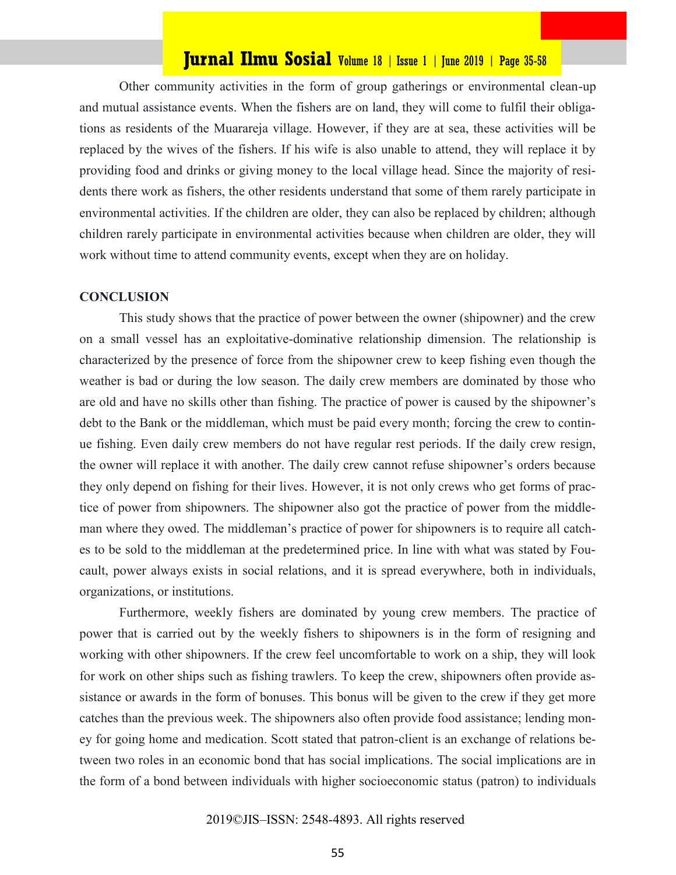Other community activities in the form of group gatherings or environmental clean-up and mutual assistance events. When the fishers are on land, they will come to fulfil their obligations as residents of the Muarareja village. However, if they are at sea, these activities will be replaced by the wives of the fishers. If his wife is also unable to attend, they will replace it by providing food and drinks or giving money to the local village head. Since the majority of residents there work as fishers, the other residents understand that some of them rarely participate in environmental activities. If the children are older, they can also be replaced by children; although children rarely participate in environmental activities because when children are older, they will work without time to attend community events, except when they are on holiday.

#### **CONCLUSION**

This study shows that the practice of power between the owner (shipowner) and the crew on a small vessel has an exploitative-dominative relationship dimension. The relationship is characterized by the presence of force from the shipowner crew to keep fishing even though the weather is bad or during the low season. The daily crew members are dominated by those who are old and have no skills other than fishing. The practice of power is caused by the shipowner's debt to the Bank or the middleman, which must be paid every month; forcing the crew to continue fishing. Even daily crew members do not have regular rest periods. If the daily crew resign, the owner will replace it with another. The daily crew cannot refuse shipowner's orders because they only depend on fishing for their lives. However, it is not only crews who get forms of practice of power from shipowners. The shipowner also got the practice of power from the middleman where they owed. The middleman's practice of power for shipowners is to require all catches to be sold to the middleman at the predetermined price. In line with what was stated by Foucault, power always exists in social relations, and it is spread everywhere, both in individuals, organizations, or institutions.

Furthermore, weekly fishers are dominated by young crew members. The practice of power that is carried out by the weekly fishers to shipowners is in the form of resigning and working with other shipowners. If the crew feel uncomfortable to work on a ship, they will look for work on other ships such as fishing trawlers. To keep the crew, shipowners often provide assistance or awards in the form of bonuses. This bonus will be given to the crew if they get more catches than the previous week. The shipowners also often provide food assistance; lending money for going home and medication. Scott stated that patron-client is an exchange of relations between two roles in an economic bond that has social implications. The social implications are in the form of a bond between individuals with higher socioeconomic status (patron) to individuals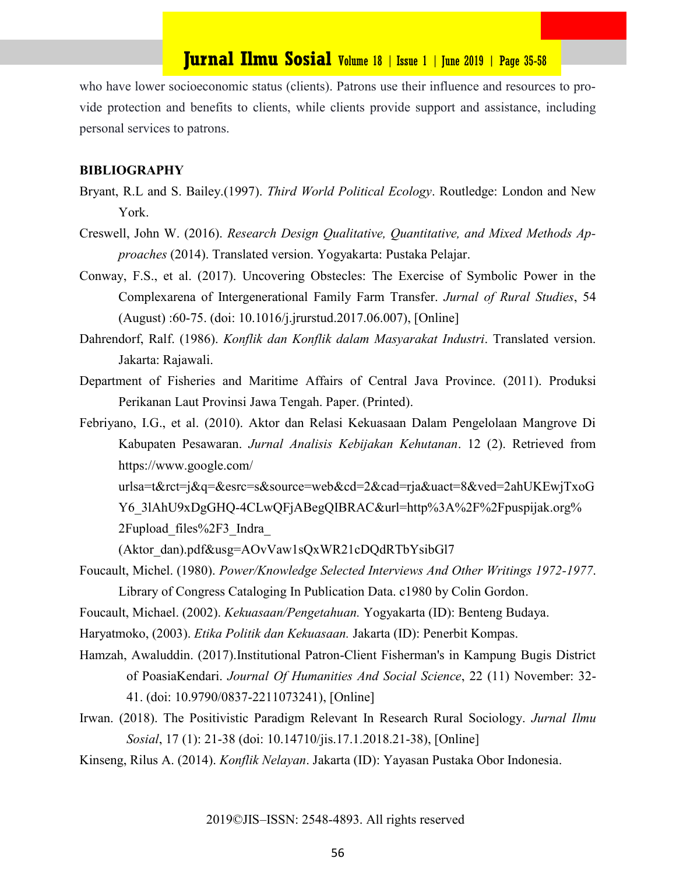who have lower socioeconomic status (clients). Patrons use their influence and resources to provide protection and benefits to clients, while clients provide support and assistance, including personal services to patrons.

#### **BIBLIOGRAPHY**

- Bryant, R.L and S. Bailey.(1997). *Third World Political Ecology*. Routledge: London and New York.
- Creswell, John W. (2016). *Research Design Qualitative, Quantitative, and Mixed Methods Approaches* (2014). Translated version. Yogyakarta: Pustaka Pelajar.
- Conway, F.S., et al. (2017). Uncovering Obstecles: The Exercise of Symbolic Power in the Complexarena of Intergenerational Family Farm Transfer. *Jurnal of Rural Studies*, 54 (August) :60-75. (doi: [10.1016/j.jrurstud.2017.06.007\)](https://doi.org/10.1016/j.jrurstud.2017.06.007), [Online]
- Dahrendorf, Ralf. (1986). *Konflik dan Konflik dalam Masyarakat Industri*. Translated version. Jakarta: Rajawali.
- Department of Fisheries and Maritime Affairs of Central Java Province. (2011). Produksi Perikanan Laut Provinsi Jawa Tengah. Paper. (Printed).
- Febriyano, I.G., et al. (2010). Aktor dan Relasi Kekuasaan Dalam Pengelolaan Mangrove Di Kabupaten Pesawaran. *Jurnal Analisis Kebijakan Kehutanan*. 12 (2). Retrieved from https://www.google.com/

urlsa=t&rct=j&q=&esrc=s&source=web&cd=2&cad=rja&uact=8&ved=2ahUKEwjTxoG Y6\_3lAhU9xDgGHQ-4CLwQFjABegQIBRAC&url=http%3A%2F%2Fpuspijak.org% 2Fupload\_files%2F3\_Indra\_

(Aktor\_dan).pdf&usg=AOvVaw1sQxWR21cDQdRTbYsibGl7

Foucault, Michel. (1980). *Power/Knowledge Selected Interviews And Other Writings 1972-1977*. Library of Congress Cataloging In Publication Data. c1980 by Colin Gordon.

Foucault, Michael. (2002). *Kekuasaan/Pengetahuan.* Yogyakarta (ID): Benteng Budaya.

Haryatmoko, (2003). *Etika Politik dan Kekuasaan.* Jakarta (ID): Penerbit Kompas.

- Hamzah, Awaluddin. (2017).Institutional Patron-Client Fisherman's in Kampung Bugis District of PoasiaKendari. *Journal Of Humanities And Social Science*, 22 (11) November: 32- 41. (doi: 10.9790/0837-2211073241), [Online]
- Irwan. (2018). The Positivistic Paradigm Relevant In Research Rural Sociology. *Jurnal Ilmu Sosial*, 17 (1): 21-38 (doi: 10.14710/jis.17.1.2018.21-38), [Online]
- Kinseng, Rilus A. (2014). *Konflik Nelayan*. Jakarta (ID): Yayasan Pustaka Obor Indonesia.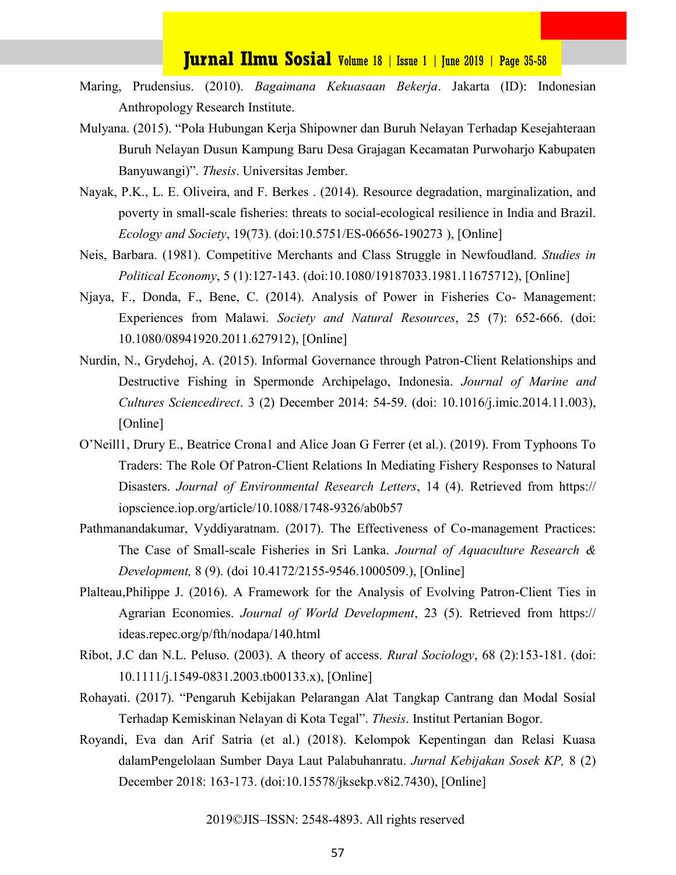- Maring, Prudensius. (2010). *Bagaimana Kekuasaan Bekerja*. Jakarta (ID): Indonesian Anthropology Research Institute.
- Mulyana. (2015). "Pola Hubungan Kerja Shipowner dan Buruh Nelayan Terhadap Kesejahteraan Buruh Nelayan Dusun Kampung Baru Desa Grajagan Kecamatan Purwoharjo Kabupaten Banyuwangi)". *Thesis*. Universitas Jember.
- Nayak, P.K., L. E. Oliveira, and F. Berkes . (2014). Resource degradation, marginalization, and poverty in small-scale fisheries: threats to social-ecological resilience in India and Brazil. *Ecology and Society*, 19(73). (doi:10.5751/ES-06656-190273 ), [Online]
- Neis, Barbara. (1981). Competitive Merchants and Class Struggle in Newfoudland. *Studies in Political Economy*, 5 (1):127-143. (doi:10.1080/19187033.1981.11675712), [Online]
- Njaya, F., Donda, F., Bene, C. (2014). Analysis of Power in Fisheries Co- Management: Experiences from Malawi. *Society and Natural Resources*, 25 (7): 652-666. (doi: [10.1080/08941920.2011.627912\),](https://doi.org/10.1080/08941920.2011.627912) [Online]
- Nurdin, N., Grydehoj, A. (2015). Informal Governance through Patron-Client Relationships and Destructive Fishing in Spermonde Archipelago, Indonesia. *Journal of Marine and Cultures Sciencedirect*. 3 (2) December 2014: 54-59. (doi: [10.1016/j.imic.2014.11.003\)](https://doi.org/10.1016/j.imic.2014.11.003), [Online]
- O'Neill1, Drury E., Beatrice Crona1 and Alice Joan G Ferrer (et al.). (2019). From Typhoons To Traders: The Role Of Patron-Client Relations In Mediating Fishery Responses to Natural Disasters. *Journal of Environmental Research Letters*, 14 (4). Retrieved from https:// iopscience.iop.org/article/10.1088/1748-9326/ab0b57
- Pathmanandakumar, Vyddiyaratnam. (2017). The Effectiveness of Co-management Practices: The Case of Small-scale Fisheries in Sri Lanka. *Journal of Aquaculture Research & Development,* 8 (9). (doi 10.4172/2155-9546.1000509.), [Online]
- Plalteau,Philippe J. (2016). A Framework for the Analysis of Evolving Patron-Client Ties in Agrarian Economies. *Journal of World Development*, 23 (5). Retrieved from https:// ideas.repec.org/p/fth/nodapa/140.html
- Ribot, J.C dan N.L. Peluso. (2003). A theory of access. *Rural Sociology*, 68 (2):153-181. (doi: 10.1111/j.1549-[0831.2003.tb00133.x\),](https://doi.org/10.1111/j.1549-0831.2003.tb00133.x) [Online]
- Rohayati. (2017). "Pengaruh Kebijakan Pelarangan Alat Tangkap Cantrang dan Modal Sosial Terhadap Kemiskinan Nelayan di Kota Tegal". *Thesis*. Institut Pertanian Bogor.
- Royandi, Eva dan Arif Satria (et al.) (2018). Kelompok Kepentingan dan Relasi Kuasa dalamPengelolaan Sumber Daya Laut Palabuhanratu. *Jurnal Kebijakan Sosek KP,* 8 (2) December 2018: 163-173. (doi:10.15578/jksekp.v8i2.7430), [Online]